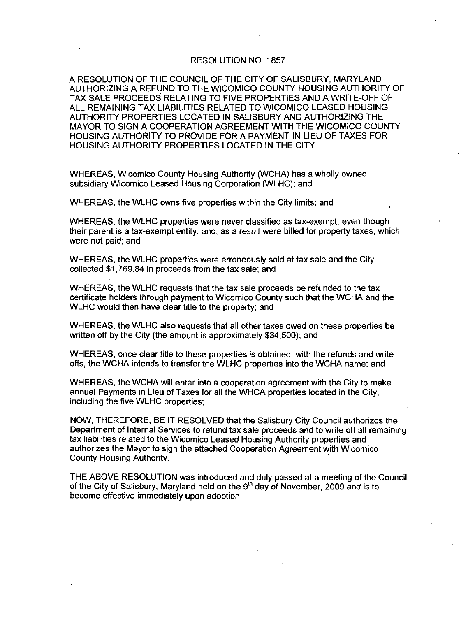### RESOLUTION NO. 1857

A RESOLUTION OF THE COUNCIL OF THE CITYOF SALISBURY MARYLAND AUTHORIZING A REFUND TO THE WICOMICO COUNTY HOUSING AUTHORITY OF TAX SALE PROCEEDS RELATING TO FIVE PROPERTIES AND AWRITE OFF OF ALL REMAINING TAX LIABILITIES RELATED TO WICOMICO LEASED HOUSING AUTHORITY PROPERTIES LOCATED IN SALISBURY AND AUTHORIZING THE MAYOR TO SIGN A COOPERATION AGREEMENT WITH THE WICOMICO COUNTY HOUSING AUTHORITY TO PROVIDE FOR A PAYMENT IN LIEU OF TAXES FOR HOUSING AUTHORITY PROPERTIES LOCATED IN THE CITY

WHEREAS, Wicomico County Housing Authority (WCHA) has a wholly owned subsidiary Wicomico Leased Housing Corporation (WLHC): and

WHEREAS, the WLHC owns five properties within the City limits: and

WHEREAS, the WLHC properties were never classified as tax-exempt, even though their parent is a tax-exempt entity, and, as a result were billed for property taxes, which were not paid; and

WHEREAS the WLHC properties were erroneously sold at tax sale and the City collected \$1,769.84 in proceeds from the tax sale; and

WHEREAS the WLHC requests that the tax sale proceeds be refunded to the tax certificate holders through payment to Wicomico County such that the WCHA and the WLHC would then have clear title to the property: and

WHEREAS, the WLHC also requests that all other taxes owed on these properties be<br>written off by the City (the amount is approximately \$34,500); and

WHEREAS, once clear title to these properties is obtained, with the refunds and write offs, the WCHA intends to transfer the WLHC properties into the WCHA name; and

WHEREAS the WCHA will enterinto <sup>a</sup> cooperation agreement with the City to make annual Payments in Lieu of Taxes for all the WHCA properties located in the City including the five WLHC properties

NOW, THEREFORE, BE IT RESOLVED that the Salisbury City Council authorizes the Department of Internal Services to refund tax sale proceeds and to write off all remaining tax liabilities related to the Wicomico Leased Housing Authority properties and authorizes the Mayor to sign the attached Cooperation Agreement with Wicomico County Housing Authority authorizes the Mayor to sign the attached Cooperation Agreement with Wicomico<br>County Housing Authority.<br>THE ABOVE RESOLUTION was introduced and duly passed at a meeting of the Council<br>of the City of Salisbury, Maryland hel

become effective immediately upon adoption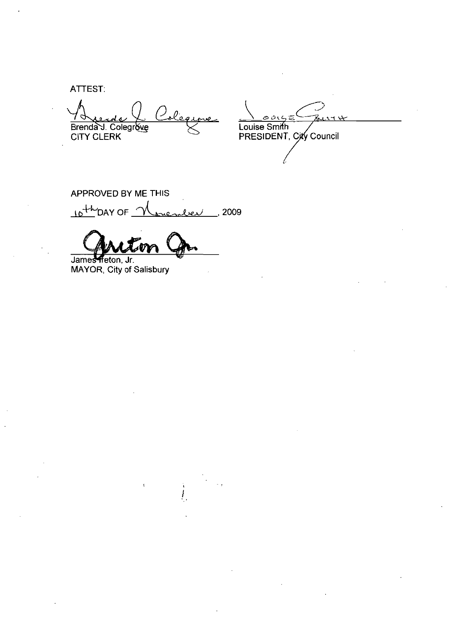**ATTEST:** 

legs ( ) Brenda J. Colegrove

Louise Smith<br>PRESIDENT, City Council

APPROVED BY ME THIS  $10 + k$ DAY OF  $\frac{1}{2}$ rienler, 2009

James freton, Jr.

MAYOR, City of Salisbury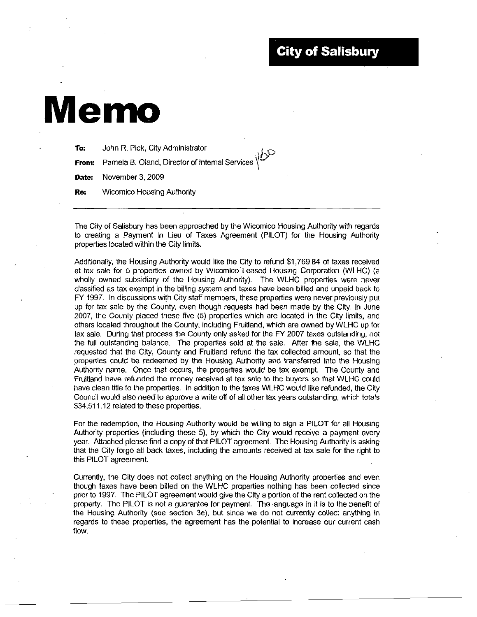# Memo

| To:        | John R. Pick, City Administrator                                                 |
|------------|----------------------------------------------------------------------------------|
|            | <b>From:</b> Pamela B. Oland, Director of Internal Services $\sqrt{\frac{D}{D}}$ |
|            | Date: November 3, 2009                                                           |
| <b>Re:</b> | Wicomico Housing Authority                                                       |

The City of Salisbury has been approached by the Wicomico Housing Authority with regards to creating a Payment In Lieu of Taxes Agreement (PILOT) for the Housing Authority properties located within the City limits. The City of Salisbury has been approached by the Wicomico Housing Authority with regards<br>to creating a Payment In Lieu of Taxes Agreement (PILOT) for the Housing Authority<br>properties located within the City limits.<br>Additio

Additionally, the Housing Authority would like the City to refund \$1,769.84 of taxes received<br>at tax sale for 5 properties owned by Wicomico Leased Housing Corporation (WLHC) (a<br>wholly owned subsidiary of the Housing Autho FY 1997. In discussions with City staff members, these properties were never previously put up for tax sale by the County, even though requests had been made by the City. In June 2007, the County placed these five (5) properties which are located in the City limits, and others located throughout the County, including Fruitland, which are owned by WLHC up for tax sale. During that process the County only asked for the FY 2007 taxes outstanding, not the full outstanding balance. The properties sold at the sale. After the sale, the WLHC requested that the City County and Fruitland refund the tax collected amount so that the properties could be redeemed by the Housing Authority and transferred into the Housing<br>Authority name. Once that occurs, the properties would be tax exempt. The County and<br>Fruitland have refunded the money received at tax Fruitland have refunded the money relative clean title to the properties. In a<br>Council would also need to approve a<br>\$34,511.12 related to these properties Council would also need to approve a write off of all other tax years outstanding, which totals

For the redemption, the Housing Authority would be willing to sign a PILOT for all Housing Authority properties (including these 5), by which the City would receive a payment every year. Attached please find a copy of that

Currently, the City does not collect anything on the Housing Authority properties and even though taxes have been billed on the WLHC properties nothing has been collected since prior to 1997. The PILOT agreement would give the City a portion of the rent collected on the property. The PILOT is not a guarantee for payment. The language in it is to the benefit of the Housing Authority (see section 3e), but since we do not currently collect anything in regards to these properties, the agreement has the potential to increase our current cash flow.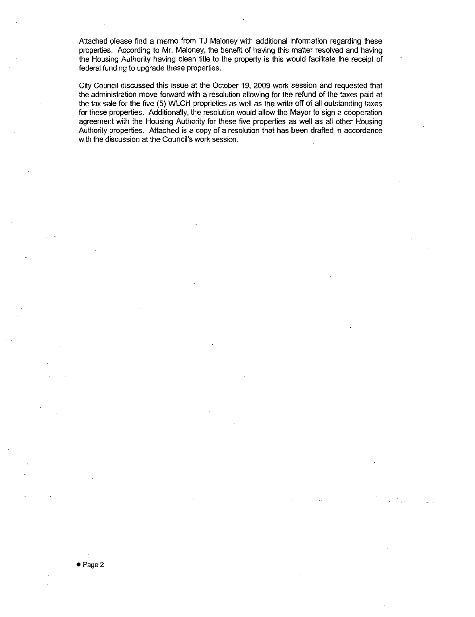Attached please find a memo from TJ Maloney with additional information regarding these properties. According to Mr. Maloney, the benefit of having this matter resolved and having the Housing Authority having clean title to the property is this would facilitate the receipt of federal funding to upgrade these properties

City Council discussed this issue at the October 19 2009 work session and requested that the administration move forward with a resolution allowing for the refund of the taxes paid at the tax sale for the five (5) WLCH proprieties as well as the write off of all outstanding taxes for these properties. Additionally, the resolution would allow the Mayor to sign a cooperation agreement with the Housing Authority for these five properties as well as all other Housing Authority properties. Attached is a copy of a resolution that has been drafted in accordance with the discussion at the Council's work session. the administration move forward with a resolution<br>the tax sale for the five (5) WLCH proprieties as<br>for these properties. Additionally, the resolution v<br>agreement with the Housing Authority for these<br>Authority properties.

● Page 2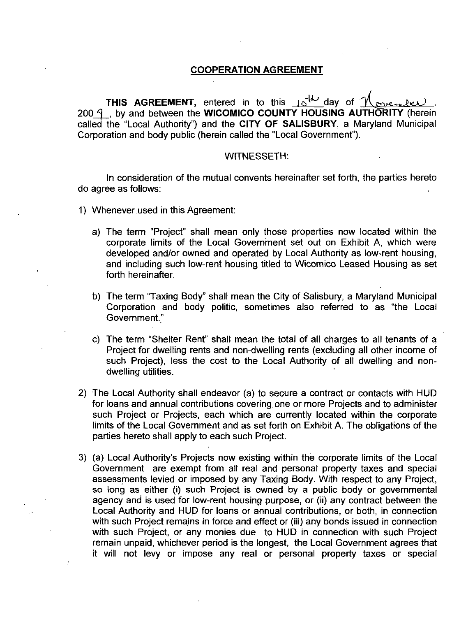### COOPERATION AGREEMENT

THIS AURELIMENT, Entered in to this  $\underline{18}$  and  $\underline{18}$  by and between the WICOMICO COUNTY HOUSING AUTHORITY (herein THIS AGREEMENT, entered in to thisoday of Were<br>THORITY (herei<br>Intervals Municipa called the "Local Authority") and the CITY OF SALISBURY, a Maryland Municipal Corporation and body public (herein called the "Local Government").

### WITNESSETH

In consideration of the mutual convents hereinafter set forth, the parties hereto do agree as follows

- 1) Whenever used in this Agreement:
	- a) The term "Project" shall mean only those properties now located within the corporate limits of the Local Government set out on Exhibit A, which were developed and/or owned and operated by Local Authority as low-rent housing, and including such lowrent housing titled to Wicomico Leased Housing as set forth hereinafter.
	- b) The term "Taxing Body" shall mean the City of Salisbury, a Maryland Municipal Corporation and body politic, sometimes also referred to as "the Local Government."
	- c) The term "Shelter Rent" shall mean the total of all charges to all tenants of a Project for dwelling rents and non-dwelling rents (excluding all other income of such Project), less the cost to the Local Authority of all dwelling and nondwelling utilities.
- 2) The Local Authority shall endeavor (a) to secure a contract or contacts with HUD for loans and annual contributions covering one or more Projects and to administer such Project or Projects, each which are currently located within the corporate limits of the Local Government and as set forth on Exhibit A. The obligations of the parties hereto shall apply to each such Project
- 3) (a) Local Authority's Projects now existing within the corporate limits of the Local Government are exempt from all real and personal property taxes and special assessments levied or imposed by any Taxing Body. With res Government are exempt from all real and personal property taxes and special assessments levied or imposed by any Taxing Body. With respect to any Project, agency and is used for low-rent housing purpose, or (ii) any contract between the Local Authority and HUD for loans or annual contributions, or both, in connection with such Project remains in force and effect or (iii) any bonds issued in connection with such Project, or any monies due to HUD in connection with such Project remain unpaid, whichever period is the longest, the Local Government agrees that it will not levy or impose any real or personal property taxes or special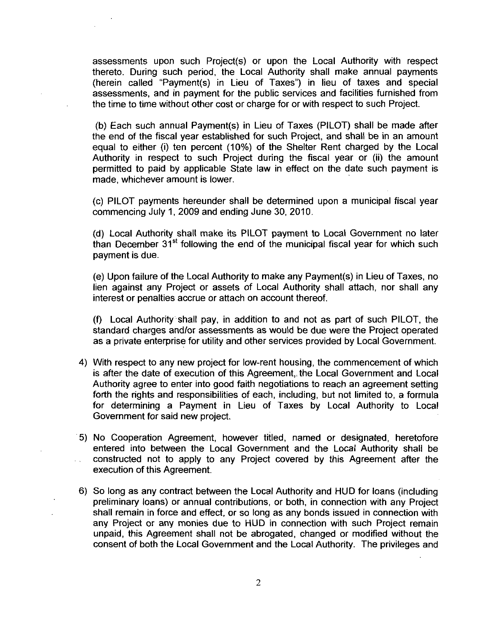assessments upon such Project(s) or upon the Local Authority with respect<br>thereto. During such period, the Local Authority shall make annual payments<br>(herein called "Payment(s) in Lieu of Taxes") in lieu of taxes and speci thereto. During such period, the Local Authority shall make annual payments assessments upon such Project(s) or upon the Local Authority with respect thereto. During such period, the Local Authority shall make annual payments (herein called "Payment(s) in Lieu of Taxes") in lieu of taxes and speci assessments and in payment for the public services and facilities furnished from the time to time without other cost or charge for or with respect to such Project assessments upon such Project(s) or upon the Local Authority with respect<br>thereto. During such period, the Local Authority shall make annual payments<br>(herein called "Payment(s) in Lieu of Taxes") in lieu of taxes and speci

(b) Each such annual Payment(s) in Lieu of Taxes (PILOT) shall be made after<br>the end of the fiscal year established for such Project, and shall be in an amount<br>equal to either (i) ten percent (10%) of the Shelter Rent cha equal to either (i) ten percent (10%) of the Shelter Rent charged by the Local<br>Authority in respect to such Project during the fiscal year or (ii) the amount permitted to paid by applicable State law in effect on the date such payment is made, whichever amount is lower.

(c) PILOT payments hereunder shall be determined upon a municipal fiscal year commencing July 1, 2009 and ending June 30, 2010.

(d) Local Authority shall make its PILOT payment to Local Government no later than December  $31<sup>st</sup>$  following the end of the municipal fiscal year for which such payment is due et the Local Authority and ending June 30, 2010.<br>
(d) Local Authority shall make its PILOT payment to Local Government no later<br>
than December 31<sup>st</sup> following the end of the municipal fiscal year for which such<br>
payment i

lien against any Project or assets of Local Authority shall attach, nor shall any interest or penalties accrue or attach on account thereof

(f) Local Authority shall pay, in addition to and not as part of such PILOT, the standard charges and/or assessments as would be due were the Project operated as <sup>a</sup> private enterprise for utility and other services provided by Local Government

- 4) With respect to any new project for low-rent housing, the commencement of which is after the date of execution of this Agreement, the Local Government and Local as a private enterprise for utility and other services provided by Local Government.<br>With respect to any new project for low-rent housing, the commencement of which<br>is after the date of execution of this Agreement, the Loc forth the rights and responsibilities of each, including, but not limited to, a formula for determining <sup>a</sup> Payment in Lieu of Taxes by Local Authority to Local Government for said new project
- 5) No Cooperation Agreement, however titled, named or designated, heretofore entered into between the Local Government and the Local Authority shall be constructed not to apply to any Project covered by this Agreement after the execution of this Agreement
- 6) So long as any contract between the Local Authority and HUD for loans (including preliminary loans) or annual contributions, or both, in connection with any Project shall remain in force and effect, or so long as any bonds issued in connection with any Project or any monies due to HUD in connection with such Project remain unpaid, this Agreement shall not be abrogated, changed or modified without the consent of both the Local Government and the Local Authority. The privileges and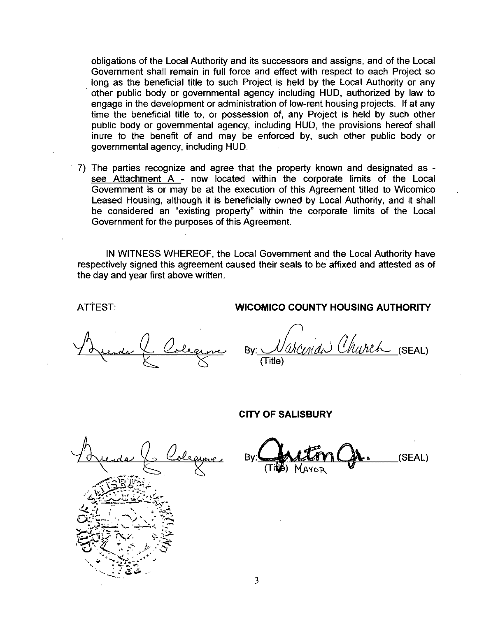obligations of the Local Authority and its successors and assigns, and of the Local Government shall remain in full force and effect with respect to each Project so long as the beneficial title to such Project is held by the Local Authority or any other public body or governmental agency including HUD, authorized by law to engage in the development or administration of low-rent housing projects. If at any time the beneficial title to, or possession of, any Project is held by such other public body or governmental agency, including HUD, the provisions hereof shall inure to the benefit of and may be enforced by, such other public body or governmental agency including HUD

7) The parties recognize and agree that the property known and designated as see Attachment  $A$  - now located within the corporate limits of the Local Government is or may be at the execution of this Agreement titled to Wicomico Leased Housing, although it is beneficially owned by Local Authority, and it shall be considered an "existing property" within the corporate limits of the Local Government for the purposes of this Agreement

IN WITNESS WHEREOF, the Local Government and the Local Authority have respectively signed this agreement caused their seals to be affixed and attested as of the day and year first above written

### ATTEST: WICOMICO COUNTY HOUSING AUTHORITY

cal Government and the Local Authority haved their seals to be affixed and attested as a<br>By: COMICO COUNTY HOUSING AUTHORITY<br>By: COMICO COUNTY HOUSING AUTHORITY<br>(Title) (Title)

y<br>Ya EN A a  $\mathbf{v} = \mathbf{v} \cdot \mathbf{v}$  $\sum_{j=1}^\infty$ 3  $\frac{1}{2}$ 

CITY OF SALISBURY

 $By.$   $\frac{1}{\pi}$   $\frac{1}{\pi}$   $\frac{1}{\pi}$   $\frac{1}{\pi}$   $\frac{1}{\pi}$   $\frac{1}{\pi}$   $\frac{1}{\pi}$   $\frac{1}{\pi}$   $\frac{1}{\pi}$   $\frac{1}{\pi}$   $\frac{1}{\pi}$   $\frac{1}{\pi}$   $\frac{1}{\pi}$   $\frac{1}{\pi}$   $\frac{1}{\pi}$   $\frac{1}{\pi}$   $\frac{1}{\pi}$   $\frac{1}{\pi}$   $\frac{1}{\pi}$   $\frac{1}{$ TIKE) MAYOR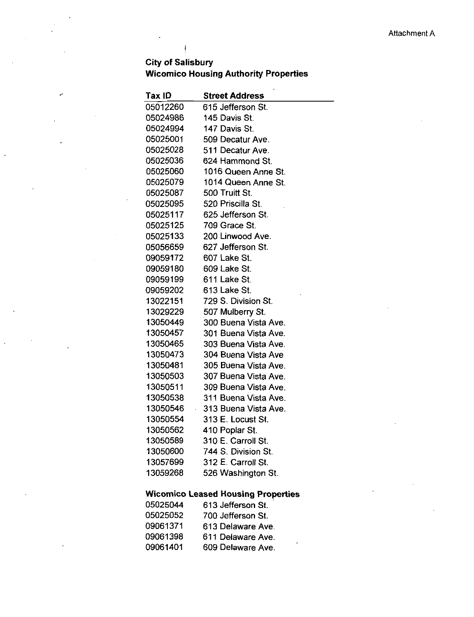### **City of Salisbury** Wicomico Housing Authority Properties

 $\biggl\{$ 

z

| Tax ID   | <b>Street Address</b> |  |  |  |  |  |
|----------|-----------------------|--|--|--|--|--|
| 05012260 | 615 Jefferson St.     |  |  |  |  |  |
| 05024986 | 145 Davis St.         |  |  |  |  |  |
| 05024994 | 147 Davis St.         |  |  |  |  |  |
| 05025001 | 509 Decatur Ave.      |  |  |  |  |  |
| 05025028 | 511 Decatur Ave.      |  |  |  |  |  |
| 05025036 | 624 Hammond St.       |  |  |  |  |  |
| 05025060 | 1016 Queen Anne St.   |  |  |  |  |  |
| 05025079 | 1014 Queen Anne St.   |  |  |  |  |  |
| 05025087 | 500 Truitt St.        |  |  |  |  |  |
| 05025095 | 520 Priscilla St.     |  |  |  |  |  |
| 05025117 | 625 Jefferson St.     |  |  |  |  |  |
| 05025125 | 709 Grace St.         |  |  |  |  |  |
| 05025133 | 200 Linwood Ave.      |  |  |  |  |  |
| 05056659 | 627 Jefferson St.     |  |  |  |  |  |
| 09059172 | 607 Lake St.          |  |  |  |  |  |
| 09059180 | 609 Lake St.          |  |  |  |  |  |
| 09059199 | 611 Lake St.          |  |  |  |  |  |
| 09059202 | 613 Lake St.          |  |  |  |  |  |
| 13022151 | 729 S. Division St.   |  |  |  |  |  |
| 13029229 | 507 Mulberry St.      |  |  |  |  |  |
| 13050449 | 300 Buena Vista Ave.  |  |  |  |  |  |
| 13050457 | 301 Buena Vista Ave.  |  |  |  |  |  |
| 13050465 | 303 Buena Vista Ave.  |  |  |  |  |  |
| 13050473 | 304 Buena Vista Ave   |  |  |  |  |  |
| 13050481 | 305 Buena Vista Ave.  |  |  |  |  |  |
| 13050503 | 307 Buena Vista Ave.  |  |  |  |  |  |
| 13050511 | 309 Buena Vista Ave.  |  |  |  |  |  |
| 13050538 | 311 Buena Vista Ave.  |  |  |  |  |  |
| 13050546 | 313 Buena Vista Ave.  |  |  |  |  |  |
| 13050554 | 313 E. Locust St.     |  |  |  |  |  |
| 13050562 | 410 Poplar St.        |  |  |  |  |  |
| 13050589 | 310 E. Carroll St.    |  |  |  |  |  |
| 13050600 | 744 S. Division St.   |  |  |  |  |  |
| 13057699 | 312 E. Carroll St.    |  |  |  |  |  |
| 13059268 | 526 Washington St.    |  |  |  |  |  |
|          |                       |  |  |  |  |  |

### Wicomico Leased Housing Properties

| 05025044 | 613 Jefferson St. |
|----------|-------------------|
| 05025052 | 700 Jefferson St. |
| 09061371 | 613 Delaware Ave. |
| 09061398 | 611 Delaware Ave. |
| 09061401 | 609 Delaware Ave. |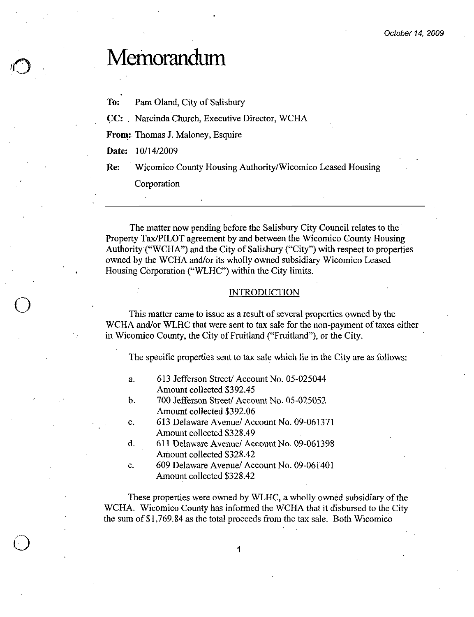## Memorandum

To: Pam Oland, City of Salisbury

CC: Narcinda Church, Executive Director, WCHA

From: Thomas J. Maloney, Esquire From: Thomas J. M<br>Date: 10/14/2009

Re: Wicomico County Housing Authority/Wicomico Leased Housing

Corporation

The matter now pending before the Salisbury City Council relates to the Property Tax/PILOT agreement by and between the Wicomico County Housing Property Tax/PILOT agreement by and between the Wicomico County Housing<br>Authority ("WCHA") and the City of Salisbury ("City") with respect to properties<br>awnod by the WCHA and/or its whelly awnod subsidiary Wisomias Lossed Authority ("WCHA") and the City of Salisbury ("City") with respect to prop owned by the WCHA and/or its wholly owned subsidiary Wicomico Leased Housing Corporation ("WLHC") within the City limits.

### INTRODUCTION

This matter came to issue as a result of several properties owned by the WCHA and/or WLHC that were sent to tax sale for the non-payment of taxes either in Wicomico County, the City of Fruitland ("Fruitland"), or the City.

The specific properties sent to tax sale which lie in the City are as follows

- a. 613 Jefferson Street/Account No. 05-025044 613 Jefferson Street/Acco<br>Amount collected \$392.45
- Amount collected \$392.45<br>b. 700 Jefferson Street/Account No. 05-025052 700 Jefferson Street/Acco<br>Amount collected \$392.06 b. 700 Jefferson Street/Account No. 05-025052<br>Amount collected \$392.06<br>c. 613 Delaware Avenue/Account No. 09-061371<br>Amount collected \$328.49
- 613 Delaware Avenue/ Ac<br>Amount collected \$328.49 c. 613 Delaware Avenue/ Account No. 09-061371<br>Amount collected \$328.49<br>d. 611 Delaware Avenue/ Account No. 09-061398<br>Amount collected \$328.42
- d. 611 Delaware Avenue/ Account No. 09-061398<br>
Amount collected \$328.42<br>
e. 609 Delaware Avenue/ Account No. 09-061401<br>
Amount collected \$328.42
- 609 Delaware Avenue/ Account No. 09-061401<br>Amount collected \$328.42

These properties were owned by WLHC awholly owned subsidiary of the WCHA Wicomico County has informed the WCHA that it disbursed to the City e. 609 Delaware Avenue/ Account No. 09-061401<br>Amount collected \$328.42<br>These properties were owned by WLHC, a wholly owned subsidiary of<br>WCHA. Wicomico County has informed the WCHA that it disbursed to the the sum of \$1,76

1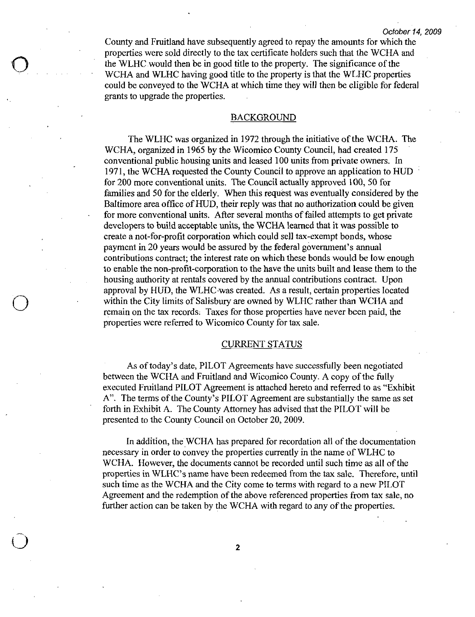County and Fruitland have subsequently agreed to repay the amounts for which the properties were sold directly to the tax certificate holders such that the WCHA and the WLHC would then be in good title to the property. The significance of the WCHA and WLHC having good title to the property is that the WLHC properties could be conveyed to the WCHA at which time they will then be eligible for federal grants to upgrade the properties

### BACKGROUND

The WLHC was organized in 1972 through the initiative of the WCHA. The WCHA, organized in 1965 by the Wicomico County Council, had created 175 conventional public housing units and leased 100 units from private owners. In 1971 the WCHA requested the County Council to approve an application to HUD for 200 more conventional units. The Council actually approved 100, 50 for families and 50 for the elderly. When this request was eventually considered by the Baltimore area office of HUD, their reply was that no authorization could be given for more conventional units. After several months of failed attempts to get private developers to build acceptable units, the WCHA learned that it was possible to create a not-for-profit corporation which could sell tax-exempt bonds, whose payment in 20 years would be assured by the federal government's annual For 200 more conventional units. The Council actually approved 100, 50 f families and 50 for the elderly. When this request was eventually consider Baltimore area office of HUD, their reply was that no authorization could contributions contract; the interest rate on which these bonds would be low enough create a not-for-profit corporation which could sell tax-exempt bonds, whose<br>payment in 20 years would be assured by the federal government's annual<br>contributions contract; the interest rate on which these bonds would be l approval by HUD, the WLHC was created. As a result, certain properties located within the City limits of Salisbury are owned by WLHC rather than WCHA and remain on the tax records. Taxes for those properties have never been paid, the properties were referred to Wicomico County for tax sale

### CURRENT STATUS

As of today's date, PILOT Agreements have successfully been negotiated between the WCHA and Fruitland and Wicomico County. A copy of the fully executed Fruitland PILOT Agreement is attached hereto and referred to as "Exhibit As of today's date, PILOT Agreements have successfully been negotiated<br>between the WCHA and Fruitland and Wicomico County. A copy of the fully<br>executed Fruitland PILOT Agreement is attached hereto and referred to as "Exhib forth in Exhibit A. The County Attorney has advised that the PILOT will be presented to the County Council on October 20, 2009.

In addition, the WCHA has prepared for recordation all of the documentation necessary in order to convey the properties currently in the name of WLHC to WCHA. However, the documents cannot be recorded until such time as all of the In addition, the WCHA has prepared for recordation all of the documentation necessary in order to convey the properties currently in the name of WLHC to WCHA. However, the documents cannot be recorded until such time as al such time as the WCHA and the City come to terms with regard to anew PILOT Agreement and the redemption of the above referenced properties from tax sale no further action can be taken by the WCHA with regard to any of the properties.

2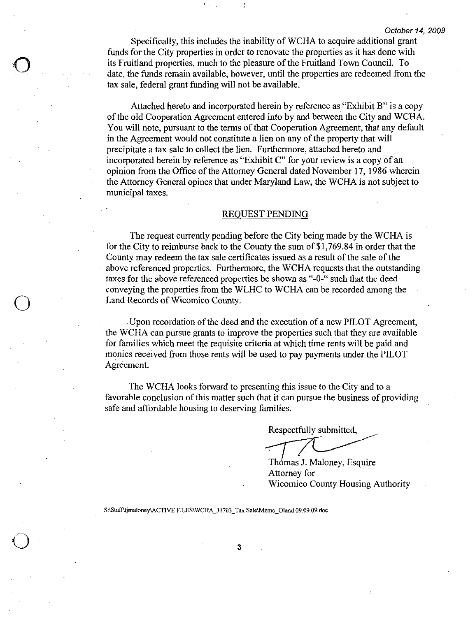Specifically, this includes the inability of WCHA to acquire additional grant funds for the City properties in order to renovate the properties as it has done with its Fruitland properties, much to the pleasure of the Fruitland Town Council. To date, the funds remain available, however, until the properties are redeemed from the tax sale, federal grant funding will not be available.

Attached hereto and incorporated herein by reference as "Exhibit  $B$ " is a copy of the old Cooperation Agreement entered into by and between the City and WCHA. You will note, pursuant to the terms of that Cooperation Agreement, that any default in the Agreement would not constitute a lien on any of the property that will precipitate a tax sale to collect the lien. Furthermore, attached hereto and incorporated herein by reference as "Exhibit  $C$ " for your review is a copy of an opinion from the Office of the Attorney General dated November 17, 1986 wherein the Attorney General opines that under Maryland Law, the WCHA is not subject to municipal taxes to the pleasure of the F<br>le, however, until the p<br>will not be available.<br>orporated herein by referent entered into by and<br>terms of that Cooperation<br>stitute a lien on any c<br>the lien. Furthermore,<br>ce as "Exhibit C" for ye<br>At

The request curreritly pending before the City being made by the WCHA is FOUEST PENDING<br>The request currently pending before the City being made by the WCHA is<br>for the City to reimburse back to the County the sum of \$1,769.84 in order that the County may redeem the tax sale certificates issued as a result of the sale of the above referenced properties. Furthermore, the WCHA requests that the outstanding taxes for the above referenced properties be shown as "-0-" such that the deed conveying the properties from the WLHC to WCHA can be recorded among the Land Records of Wicomico County.

Upon recordation of the deed and the execution of a new PILOT Agreement, the WCHA can pursue grants to improve the properties such that they aze available for families which meet the requisite criteria at which time rents will be paid and monies received from those rents will be used to pay payments under the PILOT Agreement.

The WCHA looks forward to presenting this issue to the City and to a favorable conclusion of this matter such that it can pursue the business of providing safe and affordable housing to deserving families

Respectfully submitted, In this issue to the City and<br>
Internal it can pursue the business comilies.<br>
Respectfully submitted,<br>
Thomas J. Maloney, Esquire<br>
Attorney for<br>
Wicomico County Housing Respectfully sub<br>
Thomas J. Malo:<br>
Attorney for<br>
S:\Staff\tjmaloney\ACTIVE FILES\WCHA\_31703\_Tax Sale\Memo\_Oland 09.09.09.doc

Thomas J. Maloney, Esquire Attorney for Wicomico County Housing Authority

3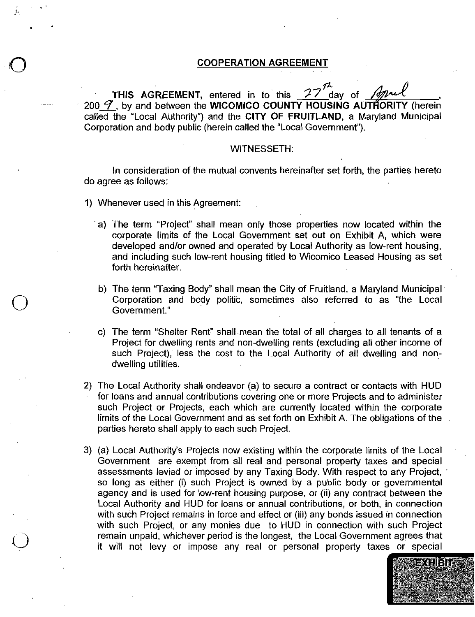# **is**<br>
COOPERATION AGREEMENT

THIS AGREEMENT, entered in to this  $27$  day of April 200  $\mathcal T$ , by and between the WICOMICO COUNTY HOUSING AUTHORITY (herein called the "Local Authority") and the CITY OF FRUITLAND, a Maryland Municipal Corporation and body public (herein called the "Local Government").

### WITNESSETH:

In consideration of the mutual convents hereinafter set forth, the parties hereto do agree as follows

- 1) Whenever used in this Agreement:
	- a) The term "Project" shall mean only those properties now located within the corporate limits of the Local Government set out on Exhibit A, which were developed and/or owned and operated by Local Authority as low-rent housing, and including such low-rent housing titled to Wicomico Leased Housing as set forth hereinafter
	- b) The term "Taxing Body" shall mean the City of Fruitland, a Maryland Municipal Corporation and body politic, sometimes also referred to as "the Local Government
	- c) The term "Shelter Rent" shall mean the total of all charges to all tenants of a<br>Project for dwelling rents and non-dwelling rents (excluding all other income of<br>such Project) less the cost to the Local Authority of all such Project), less the cost to the Local Authority of all dwelling and nondwelling utilities.
- 2) The Local Authority shall endeavor (a) to secure a contract or contacts with HUD for loans and annual contributions covering one or more Projects and to administer such Project or Projects, each which are currently located within the corporate limits of the Local Government and as set forth on Exhibit A. The obligations of the parties hereto shall apply to each such Project First Local Authority shall endeavor (a) to secure a contract or contacts with HUD<br>for loans and annual contributions covering one or more Projects and to administer<br>such Project or Projects, each which are currently locat
- 3) (a) Local Authority's Projects now existing within the corporate limits of the Local Government are exempt from all real and personal property taxes and special assessments levied or imposed by any Taxing Body. With respect to any Project, so long as either (i) such Project is owned by a public body or governmental agency and is used for low-rent housing purpose, or (ii) any contract between the Local Authority and HUD for loans or annual contributions, or both, in connection with such Project remains in force and effect or (iii) any bonds issued in connection<br>with such Project, or any monies due to HUD in connection with such Project remain unpaid, whichever period is the longest, the Local Government agrees that it will not levy or impose any real or personal property taxes or special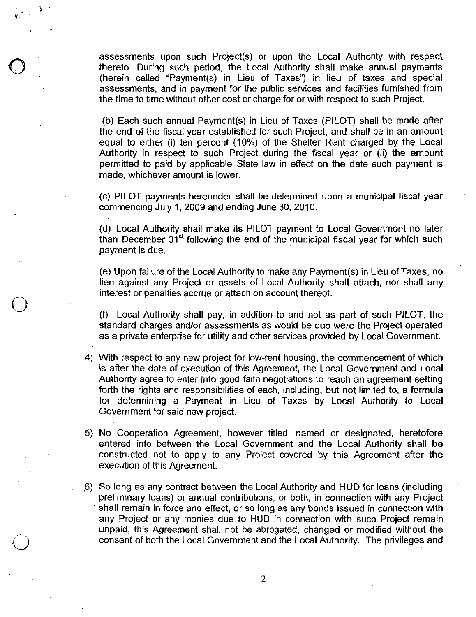assessments upon such Project(s) or upon the Local Authority with respect thereto. During such period, the Local Authority shall make annual payments (herein called "Payment(s) in Lieu of Taxes") in lieu of taxes and speci assessments upon such Project(s) or upon the Local Authority with respect<br>hereto. During such period, the Local Authority shall make annual payments<br>herein called "Payment(s) in Lieu of Taxes") in lieu of taxes and special assessments, and in payment for the public services and facilities furnished from the time to time without other cost or charge for or with respect to such Project ssessments upon such Project(s) or upon the Local Authority with respect<br>nereto. During such period, the Local Authority shall make annual payments<br>herein called "Payment(s) in Lieu of Taxes") in lieu of taxes and special<br>

(b) Each such annual Payment(s) in Lieu of Taxes (PILOT) shall be in an amount<br>the end of the fiscal year established for such Project, and shall be in an amount<br>equal to either (i) ten percent (10%) of the Shelter Rent c equal to either (i) ten percent (10%) of the Shelter Rent charged by the Local<br>Authority in respect to such Project during the fiscal year or (ii) the amount permitted to paid by applicable State law in effect on the date such payment is made, whichever amount is lower.

(c) PILOT payments hereunder shall be determined upon a municipal fiscal year commencing July 1, 2009 and ending June 30, 2010.

(d) Local Authority shall make its PILOT payment to Local Government no later than December  $31<sup>st</sup>$  following the end of the municipal fiscal year for which such payment is due contract payments interacted shall be determined upon a multiplet itscar year<br>commencing July 1, 2009 and ending June 30, 2010.<br>(d) Local Authority shall make its PILOT payment to Local Government no later<br>than December 3

lien against any Project or assets of Local Authority shall attach, nor shall any interest or penalties accrue or attach on account thereof.

f Local Authority shall pay, in addition to and not as part of such PILOT, the<br>conderd eberges and/ar essessments as would be due were the Preject eperated (f) Local Authority shall pay, in addition to and not as part of such PILOT, the<br>standard charges and/or assessments as would be due were the Project operated<br>as a private enterprise for utility and other services provided

- 4) With respect to any new project for low-rent housing, the commencement of which is after the date of execution of this Agreement, the Local Government and Local Authority agree to enter into good faith negotiations to reach an agreement setting forth the rights and responsibilities of each, including, but not limited to, a formula for determining <sup>a</sup> Payment ih Lieu of Taxes by Local Authority to Local Government for said new project
- 5) No Cooperation Agreement, however titled, named or designated, heretofore entered into between the Local Government and the Local Authority shall be constructed not to apply to any Project covered by this Agreement after the execution of this Agreement
- 6) So long as any contract between the Local Authority and HUD for loans (including<br>preliminary loans) or annual contributions, or both, in connection with any Project<br>shall remain in force and effect, or so long as any bo any Project or any monies due to HUD in connection with such Project remain unpaid, this Agreement shall not be abrogated, changed or modified without the consent of both the Local Government and the Local Authority. The privileges and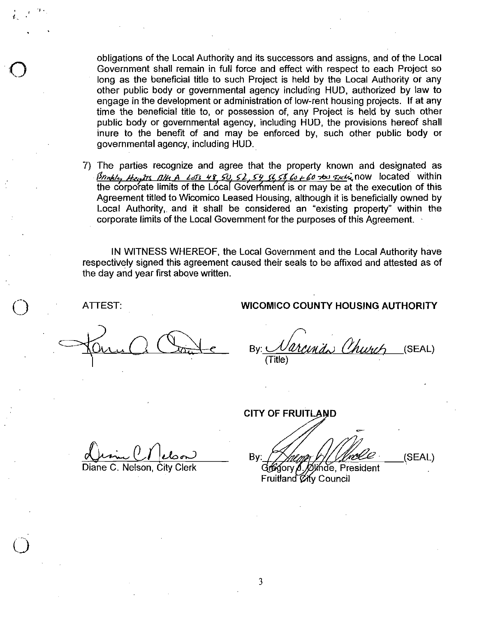obligations df the Local Authority and its successors and assigns and of the Local Government shall remain in full force and effect with respect to each Project so long as the beneficial title to such Project is held by the Local Authority or any only as the solid had the to sach ridget to hold by the Essai hadnoing or any<br>sher public body or governmental agency including HUD, authorized by law to<br>engage in the development or administration of low-rent housing proj time the beneficial title to, or possession of, any Project is held by such other public body or governmental agency, including HUD, the provisions hereof shall inure to the benefit of and may be enforced by, such other public body or governmental agency including HUD engage in the development or administration of low-rent housing projects. If at any<br>time the beneficial title to, or possession of, any Project is held by such other<br>public body or governmental agency, including HUD, the

7 The parties recognize and agree that the property known and designated as the corporate limits of the Local Government is or may be at the execution of this Local Authority, and it shall be considered an "existing property" within the corporate limits of the Local Government for the purposes of this Agreement

IN WITNESS WHEREOF, the Local Government and the Local Authority have respectively signed this agreement caused their seals to be affixed and attested as of the day and year first above written

### ATTEST WICOMICO COUNTY HOUSING AUTHORITY

inda Church Bv: (SEAL) Title

**CITY OF FRUITLAND** CITY OF FRUITLAND<br>
CITY OF FRUITLAND<br>
By: Allen World Grand City Clerk<br>
Fruitland City Council  $\frac{\alpha_{\text{max}} \cdots \alpha_{\text{max}}}{\beta_{\text{max}} \cdots \beta_{\text{max}}}$  By:  $\frac{\gamma_{\text{max}} \cdots \gamma_{\text{max}}}{\beta_{\text{max}} \cdots \beta_{\text{max}}}$ Fruitland *Ci*ty Council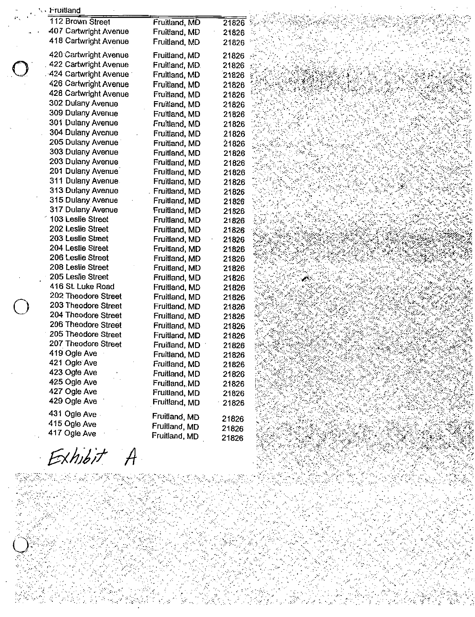| '、 Fruitland                           |                                |                |  |
|----------------------------------------|--------------------------------|----------------|--|
| 112 Brown Street                       | Fruitland, MD                  | 21826          |  |
| 407 Cartwright Avenue                  | Fruitland, MD                  | 21826          |  |
| 418 Cartwright Avenue                  | Fruitland, MD                  | 21826          |  |
| 420 Cartwright Avenue                  | Fruitland, MD                  | 21826          |  |
| 422 Cartwright Avenue                  | Fruitland, MD.                 | 21826          |  |
| 424 Cartwright Avenue                  | Fruitland, MD                  | 21826          |  |
| 426 Cartwright Avenue                  | Fruitland, MD                  | 21826          |  |
| 428 Cartwright Avenue                  | Fruitland, MD                  | 21826          |  |
| 302 Dulany Avenue                      | Fruitland, MD                  | 21826          |  |
| 309 Dulany Avenue                      | Fruitland, MD                  | 21826          |  |
| 301 Dulany Avenue                      | Fruitland, MD                  | 21826          |  |
| 304 Dulany Avenue                      | Fruitland, MD                  | 21826          |  |
| 205 Dulany Avenue                      | Fruitland, MD                  | 21826          |  |
| 303 Dulany Avenue                      | Fruitland, MD                  | 21826          |  |
| 203 Dulany Avenue                      | Fruitland, MD                  | 21826          |  |
| 201 Dulany Avenue                      | Fruitland, MD                  | 21826          |  |
| 311 Dulany Avenue                      | Fruitland, MD                  | 21826          |  |
| 313 Dulany Avenue                      | Fruitland, MD                  | 21826          |  |
| 315 Dulany Avenue                      | Fruitland, MD                  | 21826          |  |
| 317 Dulany Avenue                      | Fruitland, MD                  | 21826          |  |
| 103 Leslie Street                      | Fruitland, MD                  | 21826          |  |
| 202 Leslie Street                      | Fruitland, MD                  | 21826          |  |
| 203 Leslie Street                      | Fruitland, MD                  | 21826          |  |
| 204 Leslie Street                      | Fruitland, MD                  | 21826          |  |
| 206 Leslie Street                      | Fruitland, MD                  | 21826          |  |
| 208 Leslie Street<br>205 Leslie Street | Fruitland, MD                  | 21826          |  |
| 416 St. Luke Road                      | Fruitland, MD                  | 21826          |  |
| 202 Theodore Street                    | Fruitland, MD                  | 21826          |  |
| 203 Theodore Street                    | Fruitland, MD                  | 21826          |  |
| 204 Theodore Street                    | Fruitland, MD<br>Fruitland, MD | 21826<br>21826 |  |
| 206 Theodore Street                    | Fruitland, MD                  | 21826          |  |
| 205 Theodore Street                    | Fruitland, MD                  | 21826          |  |
| 207 Theodore Street                    | Fruitland, MD                  | 21826          |  |
| 419 Ogle Ave                           | Fruitland, MD                  | 21826          |  |
| 421 Ogle Ave                           | Fruitland, MD                  | 21826          |  |
| 423 Ogle Ave                           | Fruitland, MD                  | 21826          |  |
| 425 Ogle Ave                           | Fruitland, MD                  | 21826          |  |
| 427 Ogle Ave                           | Fruitland, MD                  | 21826          |  |
| 429 Ogle Ave                           | Fruitland, MD                  | 21826          |  |
| 431 Ogle Ave                           |                                |                |  |
| 415 Ogle Ave                           | Fruitland, MD                  | 21826          |  |
| 417 Ogle Ave                           | Fruitland, MD<br>Fruitland, MD | 21826          |  |
|                                        |                                | 21826          |  |
|                                        |                                |                |  |

Exhibit A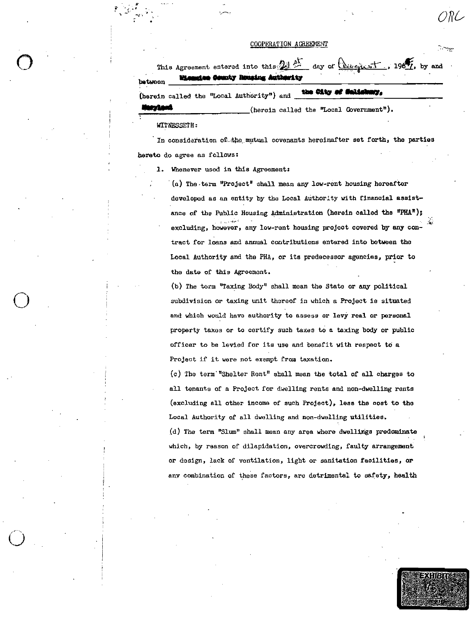### COOPERATION ACREEMENT

|                                                                          |  | <b>Mismaleo Genuity Housing Authority</b> |  | This Agreement entered into this 21 of day of $\frac{\log x}{\log x}$ , 1967, by and |  |
|--------------------------------------------------------------------------|--|-------------------------------------------|--|--------------------------------------------------------------------------------------|--|
| tween<br>$\alpha$ and $(\alpha - \alpha)$ and the "Local Authority") and |  |                                           |  | the City of Malishary,                                                               |  |

(herein called the "Local Government").

WITNESSETH:

In consideration of the mutual covenants hereinafter set forth, the parties hereto do agree as follows:

1. Whenever used in this Agreement:

(a) The term "Project" shall mean any low-rent housing hereafter developed as an entity by the Local Authority with financial assistance of the Public Housing Administration (herein called the "PHA"); excluding, however, any low-rent housing project covered by any contract for loans and annual contributions entered into between the Local Authority and the PHA, or its predecessor agencies, prior to the date of this Agreement.

(b) The term "Taxing Body" shall mean the State or any political subdivision or taxing unit thereof in which a Project is situated and which would have authority to assess or levy real or personal property taxes or to certify such taxes to a taxing body or public officer to be levied for its use and benefit with respect to a Project if it were not exempt from taxation.

(c) The term "Shelter Rent" shall mean the total of all charges to all tenants of a Project for dwelling rents and non-dwelling rents (excluding all other income of such Project), leas the cost to the Local Authority of all dwelling and non-dwelling utilities.

(d) The term "Slum" shall mean any area where dwellings predominate which, by reason of dilapidation, overcrowding, faulty arrangement or design, lack of ventilation, light or sanitation facilities, or any combination of these factors, are detrimental to safety, health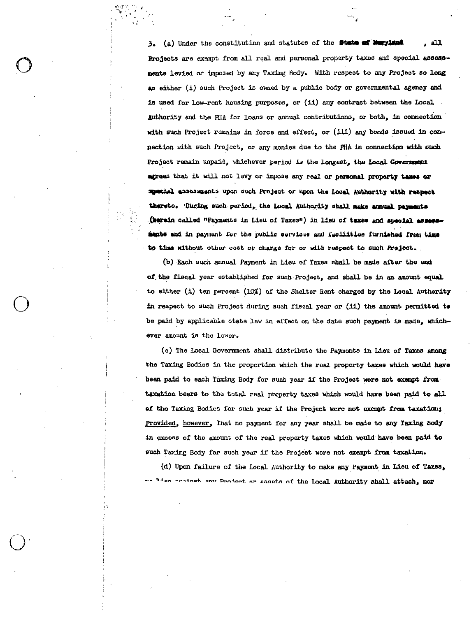(a) Under the constitution and statutes of the State of Maryland . هـ .  $3<sub>1</sub>$ Projects are exempt from all real and personal property taxes and special assessments levied or imposed by any Taxing Body. With respect to any Project so long as either (i) such Project is owned by a public body or governmental agency and is used for low-rent housing purposes, or (ii) any contract between the Local. Authority and the PHA for loans or annual contributions, or both, in connection with such Project remains in force and effect, or (iii) any bonds issued in connection with such Project, or any monies due to the PHA in connection with such Project remain unpaid, whichever period is the longest, the Local Government agrees that it will not levy or impose any real or personal property taxes or special assessments upon such Project or upon the Local Authority with respect thereto. 'During such period, the Local Authority shall make annual payments (herein called "Payments in Lieu of Taxes") in lieu of taxes and special assessments and in payment for the public services and facilities furnished from time to time without other cost or charge for or with respect to such Project.

(b) Each such annual Payment in Lieu of Taxes shall be made after the end of the fiscal year established for such Project, and shall be in an amount equal to either (i) ten percent (10%) of the Shelter Rent charged by the Local Authority in respect to such Project during such fiscal year or (11) the amount permitted to be paid by applicable state law in effect on the date such payment is made, whichever amount is the lower.

(c) The Local Government shall distribute the Payments in Lieu of Taxes among the Taxing Bodies in the proportion which the real property taxes which would have been paid to each Taxing Body for such year if the Project were not exempt from taxation bears to the total real property taxes which would have been paid to all of the Taxing Bodies for such year if the Project were not exampt from taxation; Provided, however, That no payment for any year shall be made to any Taxing Body in excess of the amount of the real property taxes which would have been paid to such Taxing Body for such year if the Project were not exampt from taxation.

(d) Upon failure of the Local Authority to make any Payment in Lieu of Taxes, lien coningt ony Deniest or sassts of the Local Authority shall attach, nor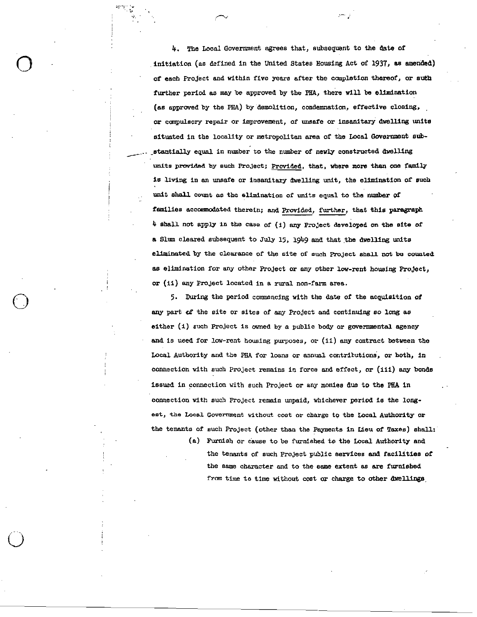4. The Local Government agrees that, subsequent to the date of initiation (as defined in the United States Housing Act of 1937, as amended) of each Project and within five years after the completion thereof, or suth further period as may be approved by the PHA, there will be elimination (as approved by the PHA) by demolition, condemnation, effective closing, or compulsory repair or improvement, of unsafe or insanitary dwelling units situated in the locality or metropolitan area of the Local Government sub stantially equal in number to the number of newly constructed dwelling units provided by such Project; Provided, that, where more than one family is living in an unsafe or insanitary dwelling unit, the elimination of such unit shall count as the elimination of units equal to the number of families accommodated therein; and Provided, further, that this paragraph<br>4 shall not apply in the case of (1) any Project developed on the site of a Slum cleared subsequent to July 15, 1949 and that the dwelling units eliminated by the clearance of the site of such Project shall not be counted as elimination for any other Project or any other low-rent housing Project, or (ii) any Project located in a rural non-farm area.

> 5. During the period commencing with the date of the acquisition of any part of the site or sites of any Project and continuing so long as either  $(1)$  such Project is owned by a public body or governmental agency and is used for low-rent housing purposes, or (ii) any contract between the Local Authority and the PHA for loans or annual contributions, or both, in connection with such Project remains in force and effect, or (iii) any bonds issued in connection with such Project or any monies due to the PHA in connection with such Project remain unpaid, whichever period is the longest, the Local Government without cost or charge to the Local Authority or the tenants of such Project (other than the Payments in Lieu of Taxes) shall:

> > (a) Furnish or cause to be furnished to the Local Authority and the tenants of such Project public services and facilities of the same character and to the same extent as are furnished from time to time without cost or charge to other dwellings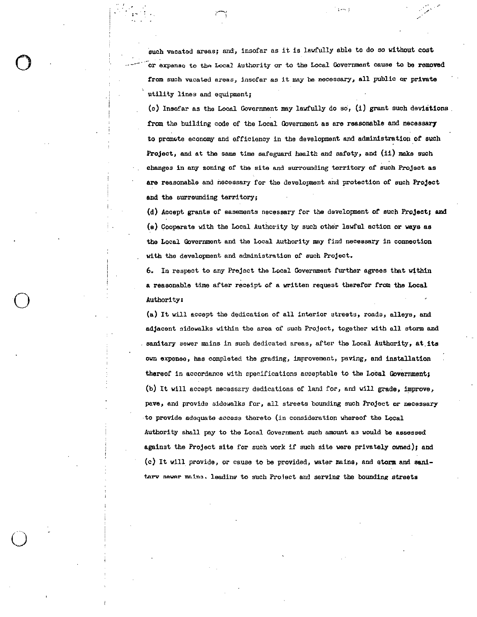such vacated areas; and, insofar as it is lawfully able to do so without cost or expanse to the Local Authority or to the Local Government cause to be removed from such vacated areas, insofar as it may be necessary, all public or private utility lines and equipment

 $\sigma$  respectively. The contract of  $\mathscr{P}^*$ 

(c) Insofar as the Local Government may lawfully do so,  $(1)$  grant such deviations. from the building code of the Local Government as are reasonable and necessary to promote economy and efficiency in the development and administration of such Project, and at the same time safeguard health and safety, and (ii) make such changes in any zoning of the site and surrounding territory of such Project as are reasonable and necessary for the development and protection of such Project and the surrounding territory;

(d) Accept grants of easements necessary for the development of such Project; and  $(e)$  Cooperate with the Local Authority by such other lawful action or ways as the Local Government and the Local Authority may find necessary in connection with the development and administration of such Project.

6 In respect to any Prefect the Local Government further agrees that within a reasonable time after receipt of a written request therefor from the Local o Authority:<br>(a) It will Authority:<br>(a) It will accept the dedication of all interior streets, roads, alleys, and

adjacent sidewalks within the area of such Project, together with all storm and<br>sanitary sewer mains in such dedicated areas, after the Local Authority, at its own expense, has completed the grading, improvement, paving, and installation thereof in accordance with specifications acceptable to the Looal Govarnmenty (b) It will accept necessary dedications of land for, and will grade, improve, pave, and provide sidewalks for, all streets bounding such Project or necessary to provide adequate access thereto (in consideration whereof the Local Authority shall pay to the Local Government such amount as xould be assessed against the Project site for such work if such site were privately owned); and  $(c)$  It will provide, or cause to be provided, water mains, and storm and sanitarv sever mains. leading to such Project and serving the bounding streets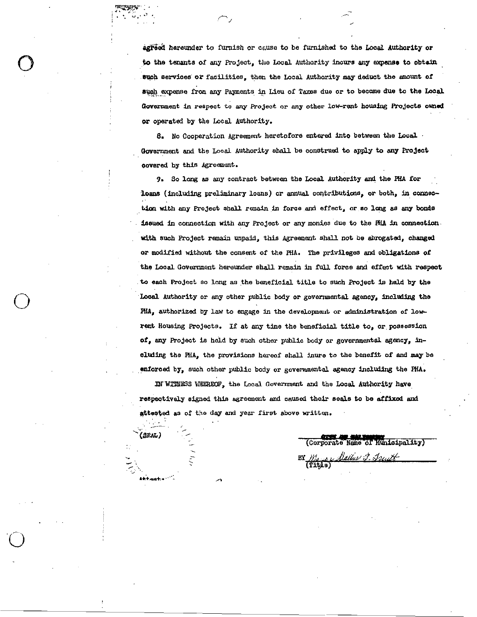agreed hereunder to furnish or cause to be furnished to the Local Authority or to the tenants of any Project, the Local Authority incurs any expense to obtain such services or facilities, then the Local Authority may deduct the amount of such expense from any Payments in Lieu of Taxes due or to become due to the Local Government in respect to any Project or any other low-rent housing Projects owned or operated by the Local Authority.

8. No Cooperation Agreement heretofore entered into between the Local. Government and the Local Authority shall be construed to apply to any Project covered by this Agreement.

9. So long as any contract between the Local Authority and the PHA for loans (including preliminary loans) or annual contributions, or both, in connection with any Project shall remain in force and effect, or so long as any bonds issued in connection with any Project or any monies due to the PHA in connection with such Project remain unpaid, this Agreement shall not be abrogated, changed or modified without the consent of the PHA. The privileges and obligations of the Local Government hereunder shall remain in full force and effect with respect to each Project so long as the beneficial title to such Project is held by the Local Authority or any other public body or governmental agency, including the PHA, authorized by law to engage in the development or administration of lowrent Housing Projects. If at any time the beneficial title to, or possession of, any Project is held by such other public body or governmental agency, including the PHA, the provisions hereof shall inure to the benefit of and may be enforced by, such other public body or governmental agency including the PHA.

IN WITNESS WHEREOF, the Local Government and the Local Authority have respectively signed this agreement and caused their seals to be affixed and attested as of the day and year first above written.

 $(SRAL)$ 

(Corporate Name of Municipality) BY Mayney Dallar J. Fruit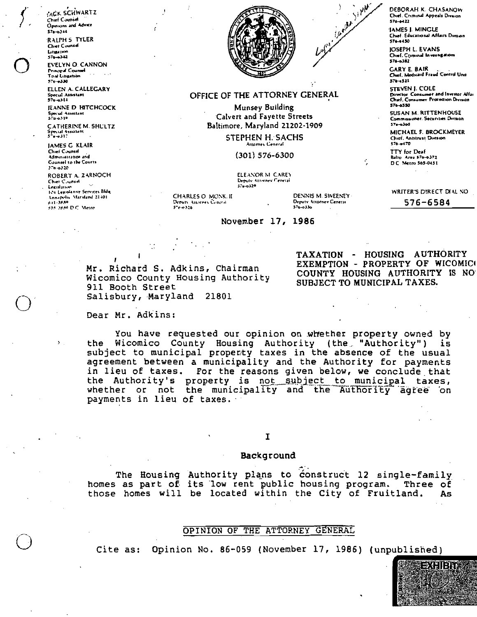**ACK SCHWARTZ** Chief Counsel Opinions and Advice  $$76 - 0144$ RALPH 5 TYLER Chief Counsel Litigation  $570 - 342$ 

**FVELYN O. CANNON Principal Counsel** That Lingation **STA-4330** 

ELLEN A. CALLEGARY Special Assistant

**JEANNE D HITCHCOCK** Special Assistant

**CATHERINE M. SHLLTZ** Special Assistant

**JAMES G KLAIR** Chief Counsel Administration and Counsel to the Courts  $376 - 0.320$ 

ROBERT A. ZARNOCH Chier C.unsel Legislation 124 Legislanve Services Bldg Annapolis Maryland 21401 \$54.3880 D.C. Metro

 $\Sigma_{\rm{eff}}$ 



### OFFICE OF THE ATTORNEY GENERAL

Munsey Building Calvert and Fayette Streets Baltimore, Maryland 21202-1909

> **STEPHEN H. SACHS** Attorney Ceneral

> > $(301) 576 - 6300$

ELEANOR M. CAREY

November 17, 1986

Deputy Attorney Ceneral<br>576-6329

CHARLES O MONK IT Deputy Attorney Cancral  $5 - 0.0328$ 

DEVNIS M. SWEENEY-Deputy Attorney General  $370 - 0330$ 

Carter Sipple

DEBORAH K. CHASANOW Chief. Criminal Appeals Division 576-6422

**JAMES J. MINGLE** Chief Educational Affairs Division 574-4450

**JOSEPH L. EVANS** Chief, Criminal Investigations  $576 - 382$ 

**GARY E. BAIR** Chief Medicaid Fraud Control Unit 576-6521

**STEVEN J. COLE** Director. Consumer and Investor Affai Chief. Consumer Procedion Division 576-6550

**SUSAN M. RITTENHOUSE** Commissioner, Securities Division 57a-n 140

MICHAFL F BROCKMEYER Chief, Antitrust Division  $576 - 0470$ 

TTY for Deaf Balto Area \$76-6372 D.C. Metro \$65-0451

TAXATION - HOUSING AUTHORITY EXEMPTION - PROPERTY OF WICOMICO

SUBJECT TO MUNICIPAL TAXES.

COUNTY HOUSING AUTHORITY IS NO

WRITER'S DIRECT DIAL NO

576-6584

Mr. Richard S. Adkins, Chairman Wicomico County Housing Authority 911 Booth Street Salisbury, Maryland 21801

Dear Mr. Adkins:

You have requested our opinion on whether property owned by the Wicomico County Housing Authority (the "Authority") is subject to municipal property taxes in the absence of the usual agreement between a municipality and the Authority for payments in lieu of taxes. For the reasons given below, we conclude that the Authority's property is not subject to municipal taxes, whether or not the municipality and the Authority agree on payments in lieu of taxes.

I

### Background

The Housing Authority plans to construct 12 single-family homes as part of its low rent public housing program. Three of those homes will be located within the City of Fruitland. As

### OPINION OF THE ATTORNEY GENERAL

Opinion No. 86-059 (November 17, 1986) (unpublished) Cite as:

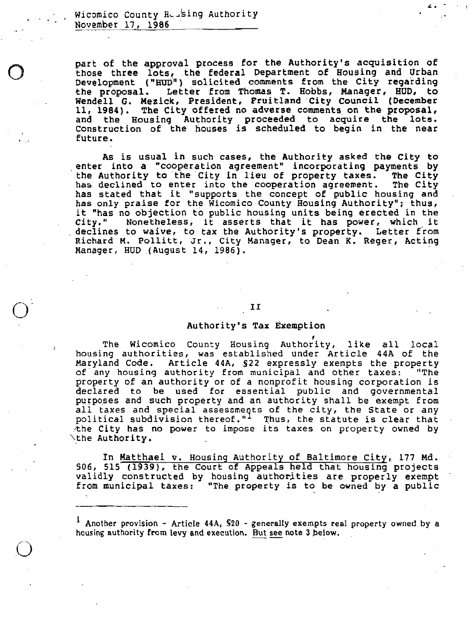icomico County Heusing Authority<br>ovember 17, 1986

part of the approval process for the Authority<br>art of the approval process for the Authority's acquisition of<br>hose three lots, the federal Department of Housing and Urban<br>evelopment ("HUD") solicited comments from the City hose three lots, the federal Department of Housing and Urban evelopment ("HUD") solicited comments from the City regarding the proposal. Letter from Thomas T. Hobbs, Manager, HUD, to Wendell G. Mezick, President, Fruitland City Council (December proposal Commence From the Coop cognecing 11, 1984). The City offered no adverse comments on the proposal, and the Housing Authority proceeded to acquire the lots.<br>Construction of the houses is scheduled to begin in the near future.

As is usual in such cases, the Authority asked the City to enter into a "cooperation agreement" incorporating payments by the Authority to the City in lieu of property taxes. The City encer into a cooperation agreement incorporating payments by<br>the Authority to the City in lieu of property taxes. The City ne Authority to the<br>has declined to enf has declined to enter into the cooperation agreement. The City has stated that it "supports the concept of public housing and nas stated that it "supports the concept of public housing and<br>has only praise for the Wicomico County Housing Authority"; thus,<br>it "has as objection to public bousing units being erected in the has only praise for the Wicomico County Housing Authority"; thus,<br>it "has no objection to public housing units being erected in the<br>City." . Nonetheless, it asserts that it has power, which it City." Nonetheless, it asserts that it has power, which it declines to waive, to tax the Authority's property. Letter from future.<br>As is usual in such cases, the Authority asked the City to<br>enter into a "cooperation agreement" incorporating payments by<br>the Authority to the City in lieu of property taxes. The City<br>has declined to enter into the Richard M. Pollitt, Jr., City Manager, to Dean K. Reger, Acting<br>Manager, HUD (August 14, 1986). Jr., City Manager, to De<br>14, 1986).<br>II<br>Authority's Tax Exemption<br>County Housing Authorit

### II

The Wicomico County Housing Authority, like all local<br>housing authorities, was established under Article 44A of the<br>Maryland Code. Article 44A, \$22 expressly exempts the property<br>of any housing authority from municipal and purposes and such property and an authority shall be exempt from<br>all taxes and special assessments of the city, the State or any political subdivision thereof."<sup>1</sup> Thus, the statute is clear that the City has no power to impose its taxes on property owned by Nothe Authority.

In Matthaei v. Housing Authority of Baltimore City, 177 Md<br>506, 515 (1939), the Court of Appeals held that housing projects<br>validly constructed by housing authorities are properly exempt In Matthaei v. Housing Authority of Baltimore City, 177 Md.<br>506, 515 (1939), the Court of Appeals held that housing projects<br>validly constructed by housing authorities are properly exempt<br>from municipal taxes: "The propert

 $<sup>1</sup>$  Another provision - Article 44A,  $$20$  - generally exempts real property owned by a</sup> housing authority from levy and execution. But see note 3 below.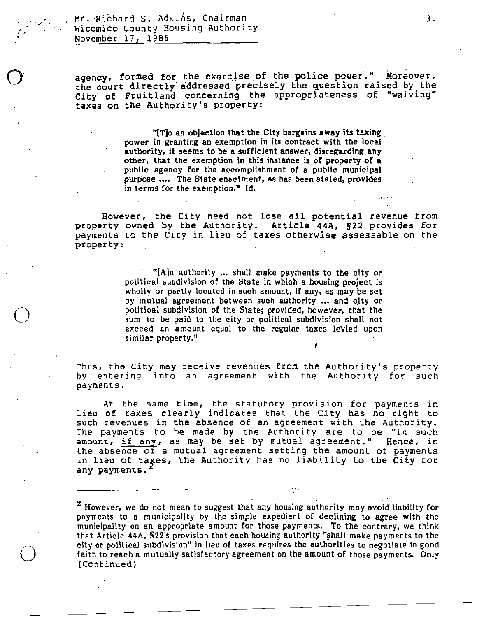Mr. Richard S. Adkins, Chairman Wicomico County Housing Authority<br>November 17, 1986

and for the theorem is the theorem of the theorem is the theorem of the theorem is the theorem is the theorem is the theorem is the theorem is the theorem is the theorem is the theorem is the theorem is the theorem is the ency, fo exercise of the police power." Moreover, med for the exercise of the police power." Moreover, gency, formed for the exercise of the portie power. Moreover, : Richard S. Adx. As, Cha<br>tromico County Housing Au<br>ovember 17, 1986<br>pency, formed for the exe<br>ne court directly address<br>ity of Fruitland concernates on the Authority's p dressed precisely the question raised by the<br>oncerning the appropriateness of "waiving"<br>"'s property:

 $"$ [T]o an objection that the City bargains away its taxing power in granting an exemption in its contract with the local authority, it seems to be a sufficient answer, disregarding any other, that the exemption in this instance is of property of a public agency for the accomplishment of a public municipal purpose .... The State enactment, as has been stated, provides in terms for the exemption."  $Id$ .

However, the City need not lose all potential revenue from property owned by the Authority. Article 44A, \$22 provides for property owned by the Authority. Article 44A, 522 provides for<br>payments to the City in lieu of taxes otherwise assessable on the

"[A]n authority ... shall make payments to the city or political subdivision of the State in which a housing project is wholly or partly located in such amount, if any, as may be set by mutual agreement between such autho by mutual agreement between such authority ... and city or political subdivision of the State; provided, however, that the sum to be paid to the city or political subdivision shall not exceed an amount equal to the regular taxes levied upon similar property." revenues from the Authority sproperty political subdivision of the State in which a housing project is<br>wholly or partly located in such amount, if any, as may be set<br>by mutual agreement between such authority ... and city

Thus, the Ci  $t_{\rm th}$  the City  $t_{\rm th}$ ,<br>may may receive a

payments.<br>At the same time, the statutory provision for payments in<br>lieu of taxes clearly indicates that the City has no right to<br>such revenues in the absence of an agreement with the Authority. such revenues in the absence of an agreement with the Authority.<br>The payments to be made by the Authority are to be "in such amount, if any, as may be set by mutual agreement." Hence, in the absence of a mutual agreement setting the amount of payments made by the Authority are to be "in such may be set by mutual agreement." Hence, in The payments to be made by the Authority are to be "in such<br>amount, if any, as may be set by mutual agreement." Hence, it<br>the absence of a mutual agreement setting the amount of payments<br>in lieu of taxes, the Authority has

<sup>2</sup> However, we do not mean to suggest that any housing authority may avoid liability for may mean to a municipality by the simple expedient of declining to agree with the <sup>2</sup> However, we do not mean to suggest that any housing authority may avoid liability for payments to a municipality by the simple expedient of declining to agree with the municipality on an appropriate amount for those p